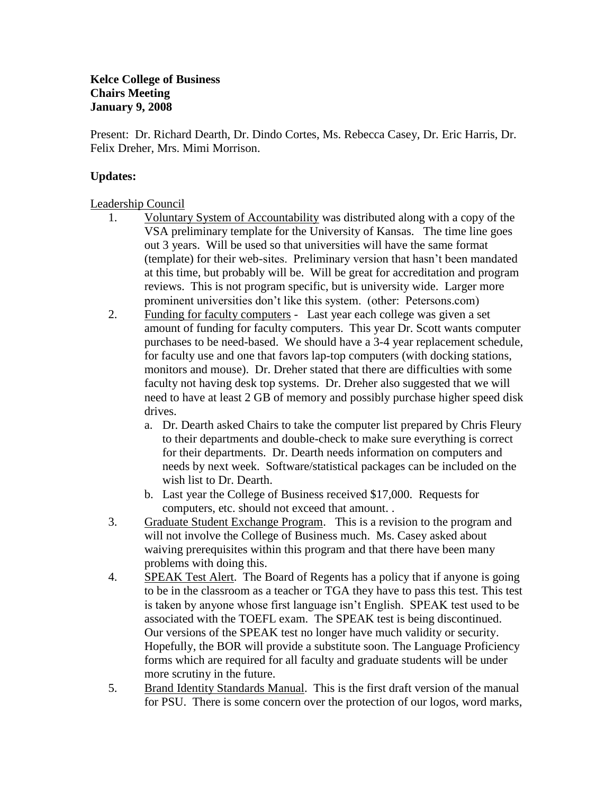Present: Dr. Richard Dearth, Dr. Dindo Cortes, Ms. Rebecca Casey, Dr. Eric Harris, Dr. Felix Dreher, Mrs. Mimi Morrison.

## **Updates:**

Leadership Council

- 1. Voluntary System of Accountability was distributed along with a copy of the VSA preliminary template for the University of Kansas. The time line goes out 3 years. Will be used so that universities will have the same format (template) for their web-sites. Preliminary version that hasn't been mandated at this time, but probably will be. Will be great for accreditation and program reviews. This is not program specific, but is university wide. Larger more prominent universities don't like this system. (other: Petersons.com)
- 2. Funding for faculty computers Last year each college was given a set amount of funding for faculty computers. This year Dr. Scott wants computer purchases to be need-based. We should have a 3-4 year replacement schedule, for faculty use and one that favors lap-top computers (with docking stations, monitors and mouse). Dr. Dreher stated that there are difficulties with some faculty not having desk top systems. Dr. Dreher also suggested that we will need to have at least 2 GB of memory and possibly purchase higher speed disk drives.
	- a. Dr. Dearth asked Chairs to take the computer list prepared by Chris Fleury to their departments and double-check to make sure everything is correct for their departments. Dr. Dearth needs information on computers and needs by next week. Software/statistical packages can be included on the wish list to Dr. Dearth.
	- b. Last year the College of Business received \$17,000. Requests for computers, etc. should not exceed that amount. .
- 3. Graduate Student Exchange Program. This is a revision to the program and will not involve the College of Business much. Ms. Casey asked about waiving prerequisites within this program and that there have been many problems with doing this.
- 4. SPEAK Test Alert. The Board of Regents has a policy that if anyone is going to be in the classroom as a teacher or TGA they have to pass this test. This test is taken by anyone whose first language isn't English. SPEAK test used to be associated with the TOEFL exam. The SPEAK test is being discontinued. Our versions of the SPEAK test no longer have much validity or security. Hopefully, the BOR will provide a substitute soon. The Language Proficiency forms which are required for all faculty and graduate students will be under more scrutiny in the future.
- 5. Brand Identity Standards Manual. This is the first draft version of the manual for PSU. There is some concern over the protection of our logos, word marks,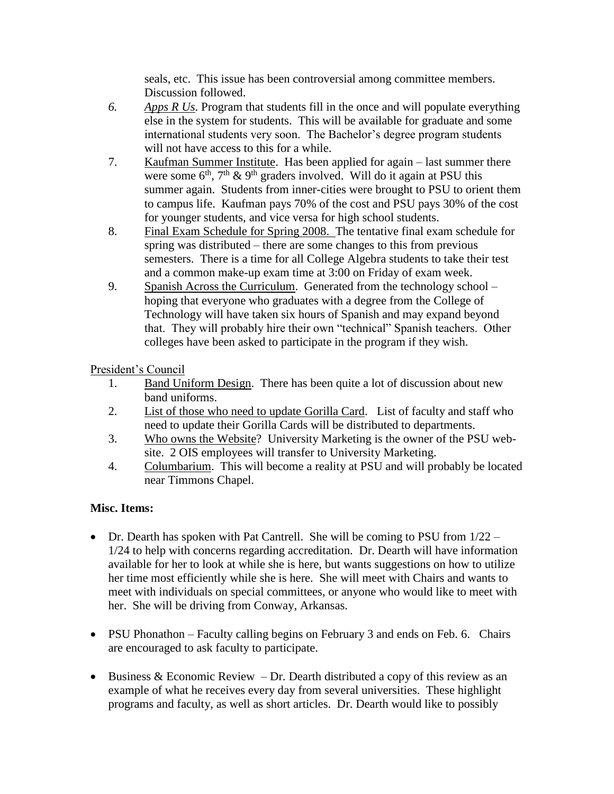seals, etc. This issue has been controversial among committee members. Discussion followed.

- *6. Apps R Us*. Program that students fill in the once and will populate everything else in the system for students. This will be available for graduate and some international students very soon. The Bachelor's degree program students will not have access to this for a while.
- 7. Kaufman Summer Institute. Has been applied for again last summer there were some  $6<sup>th</sup>$ ,  $7<sup>th</sup>$  &  $9<sup>th</sup>$  graders involved. Will do it again at PSU this summer again. Students from inner-cities were brought to PSU to orient them to campus life. Kaufman pays 70% of the cost and PSU pays 30% of the cost for younger students, and vice versa for high school students.
- 8. Final Exam Schedule for Spring 2008. The tentative final exam schedule for spring was distributed – there are some changes to this from previous semesters. There is a time for all College Algebra students to take their test and a common make-up exam time at 3:00 on Friday of exam week.
- 9. Spanish Across the Curriculum. Generated from the technology school hoping that everyone who graduates with a degree from the College of Technology will have taken six hours of Spanish and may expand beyond that. They will probably hire their own "technical" Spanish teachers. Other colleges have been asked to participate in the program if they wish.

President's Council

- 1. Band Uniform Design. There has been quite a lot of discussion about new band uniforms.
- 2. List of those who need to update Gorilla Card. List of faculty and staff who need to update their Gorilla Cards will be distributed to departments.
- 3. Who owns the Website? University Marketing is the owner of the PSU website. 2 OIS employees will transfer to University Marketing.
- 4. Columbarium. This will become a reality at PSU and will probably be located near Timmons Chapel.

## **Misc. Items:**

- Dr. Dearth has spoken with Pat Cantrell. She will be coming to PSU from  $1/22 -$ 1/24 to help with concerns regarding accreditation. Dr. Dearth will have information available for her to look at while she is here, but wants suggestions on how to utilize her time most efficiently while she is here. She will meet with Chairs and wants to meet with individuals on special committees, or anyone who would like to meet with her. She will be driving from Conway, Arkansas.
- PSU Phonathon Faculty calling begins on February 3 and ends on Feb. 6. Chairs are encouraged to ask faculty to participate.
- Business & Economic Review Dr. Dearth distributed a copy of this review as an example of what he receives every day from several universities. These highlight programs and faculty, as well as short articles. Dr. Dearth would like to possibly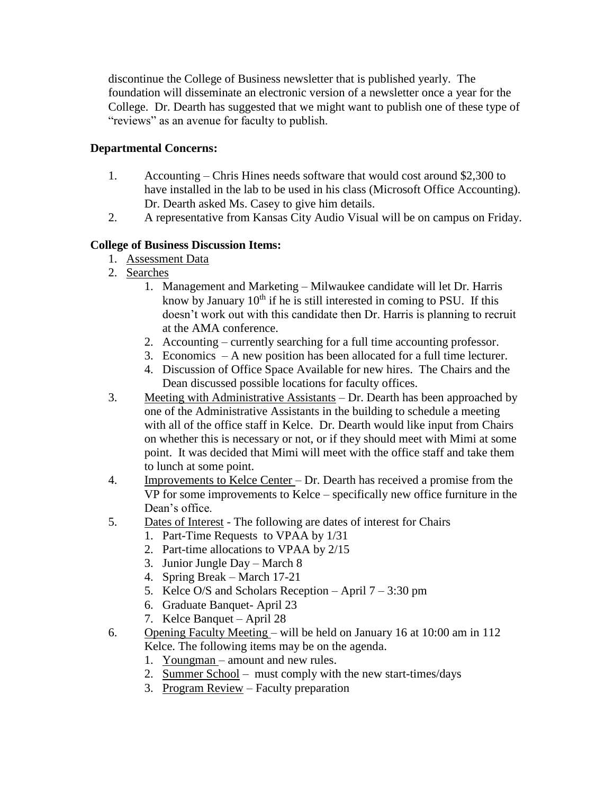discontinue the College of Business newsletter that is published yearly. The foundation will disseminate an electronic version of a newsletter once a year for the College. Dr. Dearth has suggested that we might want to publish one of these type of "reviews" as an avenue for faculty to publish.

## **Departmental Concerns:**

- 1. Accounting Chris Hines needs software that would cost around \$2,300 to have installed in the lab to be used in his class (Microsoft Office Accounting). Dr. Dearth asked Ms. Casey to give him details.
- 2. A representative from Kansas City Audio Visual will be on campus on Friday.

## **College of Business Discussion Items:**

- 1. Assessment Data
- 2. Searches
	- 1. Management and Marketing Milwaukee candidate will let Dr. Harris know by January  $10<sup>th</sup>$  if he is still interested in coming to PSU. If this doesn't work out with this candidate then Dr. Harris is planning to recruit at the AMA conference.
	- 2. Accounting currently searching for a full time accounting professor.
	- 3. Economics A new position has been allocated for a full time lecturer.
	- 4. Discussion of Office Space Available for new hires. The Chairs and the Dean discussed possible locations for faculty offices.
- 3. Meeting with Administrative Assistants Dr. Dearth has been approached by one of the Administrative Assistants in the building to schedule a meeting with all of the office staff in Kelce. Dr. Dearth would like input from Chairs on whether this is necessary or not, or if they should meet with Mimi at some point. It was decided that Mimi will meet with the office staff and take them to lunch at some point.
- 4. Improvements to Kelce Center Dr. Dearth has received a promise from the VP for some improvements to Kelce – specifically new office furniture in the Dean's office.
- 5. Dates of Interest The following are dates of interest for Chairs
	- 1. Part-Time Requests to VPAA by 1/31
	- 2. Part-time allocations to VPAA by 2/15
	- 3. Junior Jungle Day March 8
	- 4. Spring Break March 17-21
	- 5. Kelce O/S and Scholars Reception April 7 3:30 pm
	- 6. Graduate Banquet- April 23
	- 7. Kelce Banquet April 28
- 6. Opening Faculty Meeting will be held on January 16 at 10:00 am in 112 Kelce. The following items may be on the agenda.
	- 1. Youngman amount and new rules.
	- 2. Summer School must comply with the new start-times/days
	- 3. Program Review Faculty preparation